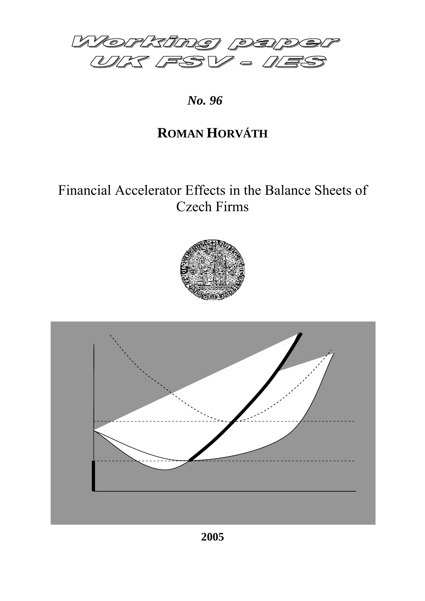

*No. 96* 

# **ROMAN HORVÁTH**

# Financial Accelerator Effects in the Balance Sheets of Czech Firms



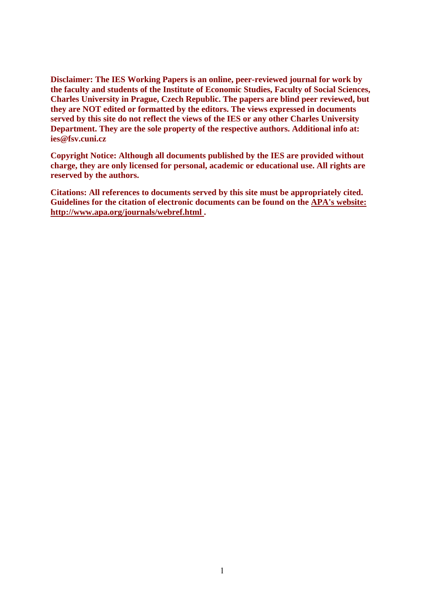**Disclaimer: The IES Working Papers is an online, peer-reviewed journal for work by the faculty and students of the Institute of Economic Studies, Faculty of Social Sciences, Charles University in Prague, Czech Republic. The papers are blind peer reviewed, but they are NOT edited or formatted by the editors. The views expressed in documents served by this site do not reflect the views of the IES or any other Charles University Department. They are the sole property of the respective authors. Additional info at: ies@fsv.cuni.cz**

**Copyright Notice: Although all documents published by the IES are provided without charge, they are only licensed for personal, academic or educational use. All rights are reserved by the authors.**

**Citations: All references to documents served by this site must be appropriately cited. Guidelines for the citation of electronic documents can be found on the [APA's website:](http://www.apastyle.org/elecref.html)  [http://www.apa.org/journals/webref.html .](http://www.apastyle.org/elecref.html)**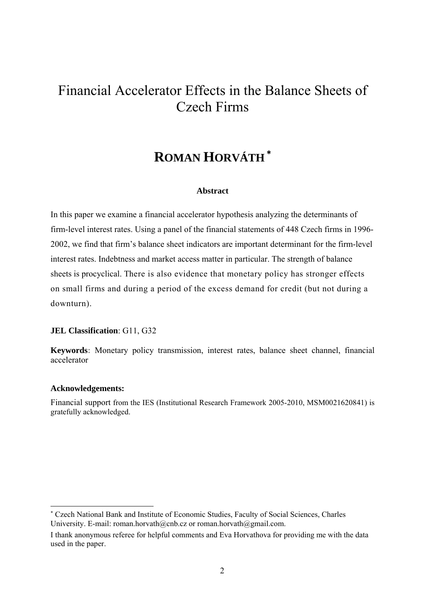# Financial Accelerator Effects in the Balance Sheets of Czech Firms

# **ROMAN HORVÁTH<sup>\*</sup>**

#### **Abstract**

In this paper we examine a financial accelerator hypothesis analyzing the determinants of firm-level interest rates. Using a panel of the financial statements of 448 Czech firms in 1996- 2002, we find that firm's balance sheet indicators are important determinant for the firm-level interest rates. Indebtness and market access matter in particular. The strength of balance sheets is procyclical. There is also evidence that monetary policy has stronger effects on small firms and during a period of the excess demand for credit (but not during a downturn).

### **JEL Classification**: G11, G32

**Keywords:** Monetary policy transmission, interest rates, balance sheet channel, financial accelerator

#### **Acknowledgements:**

-

Financial support from the IES (Institutional Research Framework 2005-2010, MSM0021620841) is gratefully acknowledged.

<span id="page-2-0"></span><sup>\*</sup> Czech National Bank and Institute of Economic Studies, Faculty of Social Sciences, Charles University. E-mail: roman.horvath@cnb.cz or roman.horvath@gmail.com.

I thank anonymous referee for helpful comments and Eva Horvathova for providing me with the data used in the paper.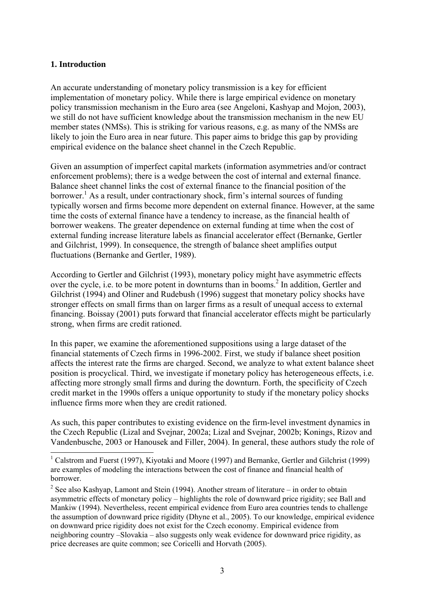# **1. Introduction**

An accurate understanding of monetary policy transmission is a key for efficient implementation of monetary policy. While there is large empirical evidence on monetary policy transmission mechanism in the Euro area (see Angeloni, Kashyap and Mojon, 2003), we still do not have sufficient knowledge about the transmission mechanism in the new EU member states (NMSs). This is striking for various reasons, e.g. as many of the NMSs are likely to join the Euro area in near future. This paper aims to bridge this gap by providing empirical evidence on the balance sheet channel in the Czech Republic.

Given an assumption of imperfect capital markets (information asymmetries and/or contract enforcement problems); there is a wedge between the cost of internal and external finance. Balance sheet channel links the cost of external finance to the financial position of the borrower.<sup>[1](#page-3-0)</sup> As a result, under contractionary shock, firm's internal sources of funding typically worsen and firms become more dependent on external finance. However, at the same time the costs of external finance have a tendency to increase, as the financial health of borrower weakens. The greater dependence on external funding at time when the cost of external funding increase literature labels as financial accelerator effect (Bernanke, Gertler and Gilchrist, 1999). In consequence, the strength of balance sheet amplifies output fluctuations (Bernanke and Gertler, 1989).

According to Gertler and Gilchrist (1993), monetary policy might have asymmetric effects over the cycle, i.e. to be more potent in downturns than in booms.<sup>2</sup> In addition, Gertler and Gilchrist (1994) and Oliner and Rudebush (1996) suggest that monetary policy shocks have stronger effects on small firms than on larger firms as a result of unequal access to external financing. Boissay (2001) puts forward that financial accelerator effects might be particularly strong, when firms are credit rationed.

In this paper, we examine the aforementioned suppositions using a large dataset of the financial statements of Czech firms in 1996-2002. First, we study if balance sheet position affects the interest rate the firms are charged. Second, we analyze to what extent balance sheet position is procyclical. Third, we investigate if monetary policy has heterogeneous effects, i.e. affecting more strongly small firms and during the downturn. Forth, the specificity of Czech credit market in the 1990s offers a unique opportunity to study if the monetary policy shocks influence firms more when they are credit rationed.

As such, this paper contributes to existing evidence on the firm-level investment dynamics in the Czech Republic (Lizal and Svejnar, 2002a; Lizal and Svejnar, 2002b; Konings, Rizov and Vandenbusche, 2003 or Hanousek and Filler, 2004). In general, these authors study the role of

<span id="page-3-0"></span><sup>&</sup>lt;sup>1</sup> Calstrom and Fuerst (1997), Kiyotaki and Moore (1997) and Bernanke, Gertler and Gilchrist (1999) are examples of modeling the interactions between the cost of finance and financial health of borrower.

<span id="page-3-1"></span><sup>&</sup>lt;sup>2</sup> See also Kashyap, Lamont and Stein (1994). Another stream of literature – in order to obtain asymmetric effects of monetary policy – highlights the role of downward price rigidity; see Ball and Mankiw (1994). Nevertheless, recent empirical evidence from Euro area countries tends to challenge the assumption of downward price rigidity (Dhyne et al., 2005). To our knowledge, empirical evidence on downward price rigidity does not exist for the Czech economy. Empirical evidence from neighboring country –Slovakia – also suggests only weak evidence for downward price rigidity, as price decreases are quite common; see Coricelli and Horvath (2005).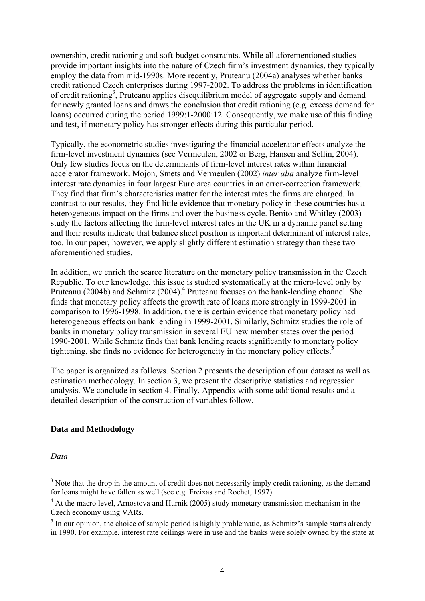ownership, credit rationing and soft-budget constraints. While all aforementioned studies provide important insights into the nature of Czech firm's investment dynamics, they typically employ the data from mid-1990s. More recently, Pruteanu (2004a) analyses whether banks credit rationed Czech enterprises during 1997-2002. To address the problems in identification of credit rationing<sup>[3](#page-4-0)</sup>, Pruteanu applies disequilibrium model of aggregate supply and demand for newly granted loans and draws the conclusion that credit rationing (e.g. excess demand for loans) occurred during the period 1999:1-2000:12. Consequently, we make use of this finding and test, if monetary policy has stronger effects during this particular period.

Typically, the econometric studies investigating the financial accelerator effects analyze the firm-level investment dynamics (see Vermeulen, 2002 or Berg, Hansen and Sellin, 2004). Only few studies focus on the determinants of firm-level interest rates within financial accelerator framework. Mojon, Smets and Vermeulen (2002) *inter alia* analyze firm-level interest rate dynamics in four largest Euro area countries in an error-correction framework. They find that firm's characteristics matter for the interest rates the firms are charged. In contrast to our results, they find little evidence that monetary policy in these countries has a heterogeneous impact on the firms and over the business cycle. Benito and Whitley (2003) study the factors affecting the firm-level interest rates in the UK in a dynamic panel setting and their results indicate that balance sheet position is important determinant of interest rates, too. In our paper, however, we apply slightly different estimation strategy than these two aforementioned studies.

In addition, we enrich the scarce literature on the monetary policy transmission in the Czech Republic. To our knowledge, this issue is studied systematically at the micro-level only by Pruteanu (200[4](#page-4-1)b) and Schmitz (2004).<sup>4</sup> Pruteanu focuses on the bank-lending channel. She finds that monetary policy affects the growth rate of loans more strongly in 1999-2001 in comparison to 1996-1998. In addition, there is certain evidence that monetary policy had heterogeneous effects on bank lending in 1999-2001. Similarly, Schmitz studies the role of banks in monetary policy transmission in several EU new member states over the period 1990-2001. While Schmitz finds that bank lending reacts significantly to monetary policy tightening, she finds no evidence for heterogeneity in the monetary policy effects.<sup>[5](#page-4-2)</sup>

The paper is organized as follows. Section 2 presents the description of our dataset as well as estimation methodology. In section 3, we present the descriptive statistics and regression analysis. We conclude in section 4. Finally, Appendix with some additional results and a detailed description of the construction of variables follow.

# **Data and Methodology**

*Data* 

<span id="page-4-0"></span><sup>&</sup>lt;sup>3</sup> Note that the drop in the amount of credit does not necessarily imply credit rationing, as the demand for loans might have fallen as well (see e.g. Freixas and Rochet, 1997).

<span id="page-4-1"></span><sup>&</sup>lt;sup>4</sup> At the macro level, Arnostova and Hurnik (2005) study monetary transmission mechanism in the Czech economy using VARs.

<span id="page-4-2"></span> $<sup>5</sup>$  In our opinion, the choice of sample period is highly problematic, as Schmitz's sample starts already</sup> in 1990. For example, interest rate ceilings were in use and the banks were solely owned by the state at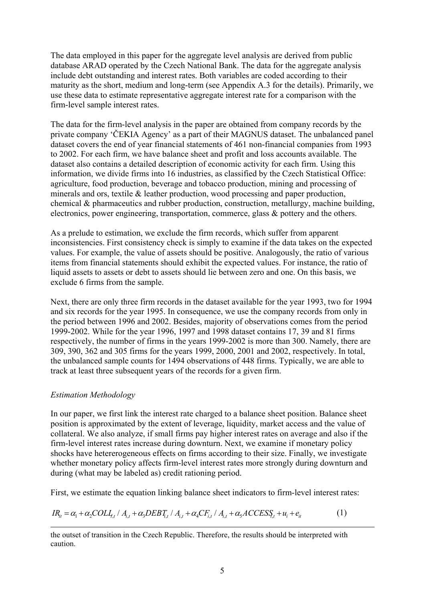The data employed in this paper for the aggregate level analysis are derived from public database ARAD operated by the Czech National Bank. The data for the aggregate analysis include debt outstanding and interest rates. Both variables are coded according to their maturity as the short, medium and long-term (see Appendix A.3 for the details). Primarily, we use these data to estimate representative aggregate interest rate for a comparison with the firm-level sample interest rates.

The data for the firm-level analysis in the paper are obtained from company records by the private company 'ČEKIA Agency' as a part of their MAGNUS dataset. The unbalanced panel dataset covers the end of year financial statements of 461 non-financial companies from 1993 to 2002. For each firm, we have balance sheet and profit and loss accounts available. The dataset also contains a detailed description of economic activity for each firm. Using this information, we divide firms into 16 industries, as classified by the Czech Statistical Office: agriculture, food production, beverage and tobacco production, mining and processing of minerals and ors, textile & leather production, wood processing and paper production, chemical & pharmaceutics and rubber production, construction, metallurgy, machine building, electronics, power engineering, transportation, commerce, glass & pottery and the others.

As a prelude to estimation, we exclude the firm records, which suffer from apparent inconsistencies. First consistency check is simply to examine if the data takes on the expected values. For example, the value of assets should be positive. Analogously, the ratio of various items from financial statements should exhibit the expected values. For instance, the ratio of liquid assets to assets or debt to assets should lie between zero and one. On this basis, we exclude 6 firms from the sample.

Next, there are only three firm records in the dataset available for the year 1993, two for 1994 and six records for the year 1995. In consequence, we use the company records from only in the period between 1996 and 2002. Besides, majority of observations comes from the period 1999-2002. While for the year 1996, 1997 and 1998 dataset contains 17, 39 and 81 firms respectively, the number of firms in the years 1999-2002 is more than 300. Namely, there are 309, 390, 362 and 305 firms for the years 1999, 2000, 2001 and 2002, respectively. In total, the unbalanced sample counts for 1494 observations of 448 firms. Typically, we are able to track at least three subsequent years of the records for a given firm.

# *Estimation Methodology*

In our paper, we first link the interest rate charged to a balance sheet position. Balance sheet position is approximated by the extent of leverage, liquidity, market access and the value of collateral. We also analyze, if small firms pay higher interest rates on average and also if the firm-level interest rates increase during downturn. Next, we examine if monetary policy shocks have hetererogeneous effects on firms according to their size. Finally, we investigate whether monetary policy affects firm-level interest rates more strongly during downturn and during (what may be labeled as) credit rationing period.

First, we estimate the equation linking balance sheet indicators to firm-level interest rates:

$$
IR_{it} = \alpha_1 + \alpha_2 COLI_{t,t} / A_{i,t} + \alpha_3 DEBT_{t,t} / A_{i,t} + \alpha_4 CF_{i,t} / A_{i,t} + \alpha_5 ACCESS_{t,t} + u_i + e_{it}
$$
(1)

the outset of transition in the Czech Republic. Therefore, the results should be interpreted with caution.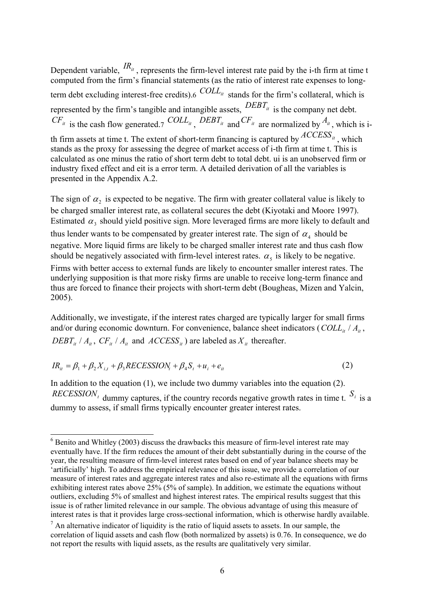Dependent variable,  $^{IR_{it}}$ , represents the firm-level interest rate paid by the i-th firm at time t computed from the firm's financial statements (as the ratio of interest rate expenses to long-term debt excluding interest-free credits)[.6](#page-6-0)  $COLL_{it}$  stands for the firm's collateral, which is represented by the firm's tangible and intangible assets,  $\overline{DBB}T_{it}$  is the company net debt.  $CF_{it}$  is the cash flow generated[.7](#page-6-1)  $COLL_{it}$ ,  $DERT_{it}$  and  $CF_{it}$  are normalized by  $A_{it}$ , which is ith firm assets at time t. The extent of short-term financing is captured by  $ACCESS_{it}$ , which stands as the proxy for assessing the degree of market access of i-th firm at time t. This is calculated as one minus the ratio of short term debt to total debt. ui is an unobserved firm or industry fixed effect and eit is a error term. A detailed derivation of all the variables is presented in the Appendix A.2.

The sign of  $\alpha_2$  is expected to be negative. The firm with greater collateral value is likely to be charged smaller interest rate, as collateral secures the debt (Kiyotaki and Moore 1997). Estimated  $\alpha_3$  should yield positive sign. More leveraged firms are more likely to default and thus lender wants to be compensated by greater interest rate. The sign of  $\alpha_4$  should be negative. More liquid firms are likely to be charged smaller interest rate and thus cash flow should be negatively associated with firm-level interest rates.  $\alpha_5$  is likely to be negative. Firms with better access to external funds are likely to encounter smaller interest rates. The underlying supposition is that more risky firms are unable to receive long-term finance and thus are forced to finance their projects with short-term debt (Bougheas, Mizen and Yalcin, 2005).

Additionally, we investigate, if the interest rates charged are typically larger for small firms and/or during economic downturn. For convenience, balance sheet indicators (*COLL<sub>it</sub>* /  $A_i$ ,  $DEBT_{it} / A_{it}$ ,  $CF_{it} / A_{it}$  and  $ACCESS_{it}$  are labeled as  $X_{it}$  thereafter.

$$
IR_{it} = \beta_1 + \beta_2 X_{i,t} + \beta_3 RECESSION_t + \beta_4 S_t + u_i + e_{it}
$$
\n<sup>(2)</sup>

1

In addition to the equation (1), we include two dummy variables into the equation (2). *RECESSION<sub>t</sub>* dummy captures, if the country records negative growth rates in time t.  $S_i$  is a dummy to assess, if small firms typically encounter greater interest rates.

<span id="page-6-0"></span> $6$  Benito and Whitley (2003) discuss the drawbacks this measure of firm-level interest rate may eventually have. If the firm reduces the amount of their debt substantially during in the course of the year, the resulting measure of firm-level interest rates based on end of year balance sheets may be 'artificially' high. To address the empirical relevance of this issue, we provide a correlation of our measure of interest rates and aggregate interest rates and also re-estimate all the equations with firms exhibiting interest rates above 25% (5% of sample). In addition, we estimate the equations without outliers, excluding 5% of smallest and highest interest rates. The empirical results suggest that this issue is of rather limited relevance in our sample. The obvious advantage of using this measure of interest rates is that it provides large cross-sectional information, which is otherwise hardly available.

<span id="page-6-1"></span> $<sup>7</sup>$  An alternative indicator of liquidity is the ratio of liquid assets to assets. In our sample, the</sup> correlation of liquid assets and cash flow (both normalized by assets) is 0.76. In consequence, we do not report the results with liquid assets, as the results are qualitatively very similar.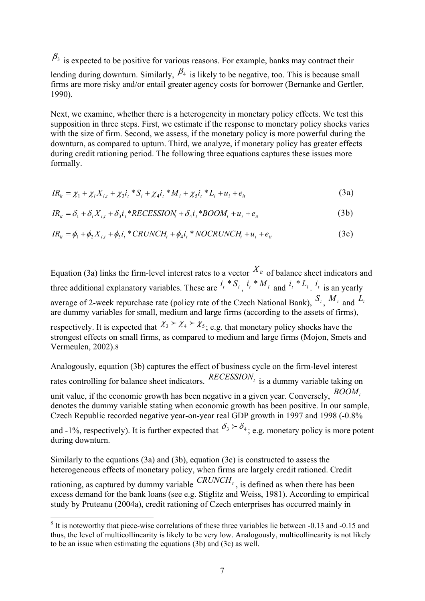$\beta_3$  is expected to be positive for various reasons. For example, banks may contract their

lending during downturn. Similarly,  $\beta_4$  is likely to be negative, too. This is because small firms are more risky and/or entail greater agency costs for borrower (Bernanke and Gertler, 1990).

Next, we examine, whether there is a heterogeneity in monetary policy effects. We test this supposition in three steps. First, we estimate if the response to monetary policy shocks varies with the size of firm. Second, we assess, if the monetary policy is more powerful during the downturn, as compared to upturn. Third, we analyze, if monetary policy has greater effects during credit rationing period. The following three equations captures these issues more formally.

$$
IR_{it} = \chi_1 + \chi_i X_{i,t} + \chi_3 i_t * S_i + \chi_4 i_t * M_i + \chi_5 i_t * L_i + u_t + e_{it}
$$
\n(3a)

$$
IR_{it} = \delta_1 + \delta_i X_{i,t} + \delta_3 i_t * RECESSION_t + \delta_4 i_t * BOM_t + u_i + e_{it}
$$
\n(3b)

$$
IR_{it} = \phi_1 + \phi_2 X_{i,t} + \phi_3 i_t * CRUNCH_t + \phi_4 i_t * NOCRUNCH_t + u_i + e_{it}
$$
(3c)

Equation (3a) links the firm-level interest rates to a vector  $X_{it}$  of balance sheet indicators and three additional explanatory variables. These are  $i_t * S_i$ ,  $i_t * M_i$  and  $i_t * L_i$ ,  $i_t$  is an yearly average of 2-week repurchase rate (policy rate of the Czech National Bank), *Si* , *<sup>M</sup> <sup>i</sup>* and *Li* are dummy variables for small, medium and large firms (according to the assets of firms), respectively. It is expected that  $\chi_3 > \chi_4 > \chi_5$ ; e.g. that monetary policy shocks have the

strongest effects on small firms, as compared to medium and large firms (Mojon, Smets and Vermeulen, 2002)[.8](#page-7-0)

Analogously, equation (3b) captures the effect of business cycle on the firm-level interest rates controlling for balance sheet indicators.  $RECESSION<sub>t</sub>$  is a dummy variable taking on unit value, if the economic growth has been negative in a given year. Conversely,  $BOM_t$ denotes the dummy variable stating when economic growth has been positive. In our sample, Czech Republic recorded negative year-on-year real GDP growth in 1997 and 1998 (-0.8% and -1%, respectively). It is further expected that  $\delta_3 \succeq \delta_4$ ; e.g. monetary policy is more potent

during downturn.

Similarly to the equations (3a) and (3b), equation (3c) is constructed to assess the heterogeneous effects of monetary policy, when firms are largely credit rationed. Credit rationing, as captured by dummy variable  $CRUNCH_t$ , is defined as when there has been excess demand for the bank loans (see e.g. Stiglitz and Weiss, 1981). According to empirical study by Pruteanu (2004a), credit rationing of Czech enterprises has occurred mainly in

<span id="page-7-0"></span><sup>-</sup> $8$  It is noteworthy that piece-wise correlations of these three variables lie between -0.13 and -0.15 and thus, the level of multicollinearity is likely to be very low. Analogously, multicollinearity is not likely to be an issue when estimating the equations (3b) and (3c) as well.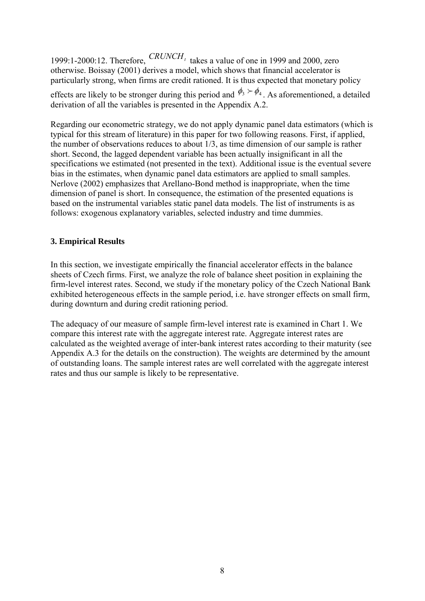1999:1-2000:12. Therefore,  $CRUNCH_t$  takes a value of one in 1999 and 2000, zero otherwise. Boissay (2001) derives a model, which shows that financial accelerator is particularly strong, when firms are credit rationed. It is thus expected that monetary policy

effects are likely to be stronger during this period and  $\phi_3 > \phi_4$ . As aforementioned, a detailed derivation of all the variables is presented in the Appendix A.2.

Regarding our econometric strategy, we do not apply dynamic panel data estimators (which is typical for this stream of literature) in this paper for two following reasons. First, if applied, the number of observations reduces to about 1/3, as time dimension of our sample is rather short. Second, the lagged dependent variable has been actually insignificant in all the specifications we estimated (not presented in the text). Additional issue is the eventual severe bias in the estimates, when dynamic panel data estimators are applied to small samples. Nerlove (2002) emphasizes that Arellano-Bond method is inappropriate, when the time dimension of panel is short. In consequence, the estimation of the presented equations is based on the instrumental variables static panel data models. The list of instruments is as follows: exogenous explanatory variables, selected industry and time dummies.

# **3. Empirical Results**

In this section, we investigate empirically the financial accelerator effects in the balance sheets of Czech firms. First, we analyze the role of balance sheet position in explaining the firm-level interest rates. Second, we study if the monetary policy of the Czech National Bank exhibited heterogeneous effects in the sample period, i.e. have stronger effects on small firm, during downturn and during credit rationing period.

The adequacy of our measure of sample firm-level interest rate is examined in Chart 1. We compare this interest rate with the aggregate interest rate. Aggregate interest rates are calculated as the weighted average of inter-bank interest rates according to their maturity (see Appendix A.3 for the details on the construction). The weights are determined by the amount of outstanding loans. The sample interest rates are well correlated with the aggregate interest rates and thus our sample is likely to be representative.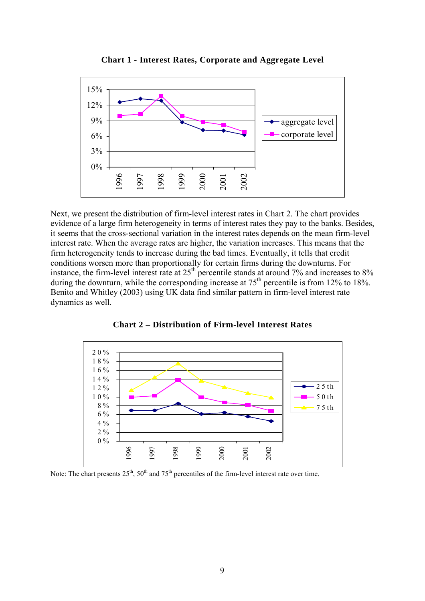

**Chart 1 - Interest Rates, Corporate and Aggregate Level** 

Next, we present the distribution of firm-level interest rates in Chart 2. The chart provides evidence of a large firm heterogeneity in terms of interest rates they pay to the banks. Besides, it seems that the cross-sectional variation in the interest rates depends on the mean firm-level interest rate. When the average rates are higher, the variation increases. This means that the firm heterogeneity tends to increase during the bad times. Eventually, it tells that credit conditions worsen more than proportionally for certain firms during the downturns. For instance, the firm-level interest rate at  $25<sup>th</sup>$  percentile stands at around 7% and increases to 8% during the downturn, while the corresponding increase at  $75<sup>th</sup>$  percentile is from 12% to 18%. Benito and Whitley (2003) using UK data find similar pattern in firm-level interest rate dynamics as well.



**Chart 2 – Distribution of Firm-level Interest Rates** 

Note: The chart presents  $25<sup>th</sup>$ ,  $50<sup>th</sup>$  and  $75<sup>th</sup>$  percentiles of the firm-level interest rate over time.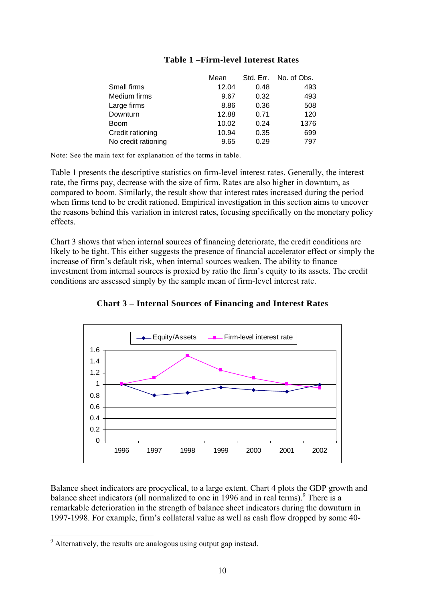|                     | Mean  | Std. Err. | No. of Obs. |
|---------------------|-------|-----------|-------------|
| Small firms         | 12.04 | 0.48      | 493         |
| Medium firms        | 9.67  | 0.32      | 493         |
| Large firms         | 8.86  | 0.36      | 508         |
| Downturn            | 12.88 | 0.71      | 120         |
| <b>Boom</b>         | 10.02 | 0.24      | 1376        |
| Credit rationing    | 10.94 | 0.35      | 699         |
| No credit rationing | 9.65  | 0.29      | 797         |

## **Table 1 –Firm-level Interest Rates**

Note: See the main text for explanation of the terms in table.

Table 1 presents the descriptive statistics on firm-level interest rates. Generally, the interest rate, the firms pay, decrease with the size of firm. Rates are also higher in downturn, as compared to boom. Similarly, the result show that interest rates increased during the period when firms tend to be credit rationed. Empirical investigation in this section aims to uncover the reasons behind this variation in interest rates, focusing specifically on the monetary policy effects.

Chart 3 shows that when internal sources of financing deteriorate, the credit conditions are likely to be tight. This either suggests the presence of financial accelerator effect or simply the increase of firm's default risk, when internal sources weaken. The ability to finance investment from internal sources is proxied by ratio the firm's equity to its assets. The credit conditions are assessed simply by the sample mean of firm-level interest rate.



**Chart 3 – Internal Sources of Financing and Interest Rates** 

Balance sheet indicators are procyclical, to a large extent. Chart 4 plots the GDP growth and balance sheet indicators (all normalized to one in 1[9](#page-10-0)96 and in real terms).<sup>9</sup> There is a remarkable deterioration in the strength of balance sheet indicators during the downturn in 1997-1998. For example, firm's collateral value as well as cash flow dropped by some 40-

<span id="page-10-0"></span><sup>&</sup>lt;sup>9</sup> Alternatively, the results are analogous using output gap instead.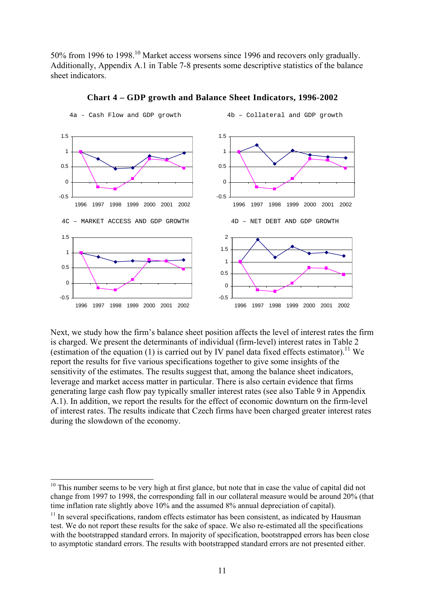50% from 1996 to 1998.[10](#page-11-0) Market access worsens since 1996 and recovers only gradually. Additionally, Appendix A.1 in Table 7-8 presents some descriptive statistics of the balance sheet indicators.



**Chart 4 – GDP growth and Balance Sheet Indicators, 1996-2002** 

Next, we study how the firm's balance sheet position affects the level of interest rates the firm is charged. We present the determinants of individual (firm-level) interest rates in Table 2 (estimation of the equation (1) is carried out by IV panel data fixed effects estimator).<sup>11</sup> We report the results for five various specifications together to give some insights of the sensitivity of the estimates. The results suggest that, among the balance sheet indicators, leverage and market access matter in particular. There is also certain evidence that firms generating large cash flow pay typically smaller interest rates (see also Table 9 in Appendix A.1). In addition, we report the results for the effect of economic downturn on the firm-level of interest rates. The results indicate that Czech firms have been charged greater interest rates during the slowdown of the economy.

<span id="page-11-0"></span><sup>&</sup>lt;sup>10</sup> This number seems to be very high at first glance, but note that in case the value of capital did not change from 1997 to 1998, the corresponding fall in our collateral measure would be around 20% (that time inflation rate slightly above 10% and the assumed 8% annual depreciation of capital).

<span id="page-11-1"></span> $11$  In several specifications, random effects estimator has been consistent, as indicated by Hausman test. We do not report these results for the sake of space. We also re-estimated all the specifications with the bootstrapped standard errors. In majority of specification, bootstrapped errors has been close to asymptotic standard errors. The results with bootstrapped standard errors are not presented either.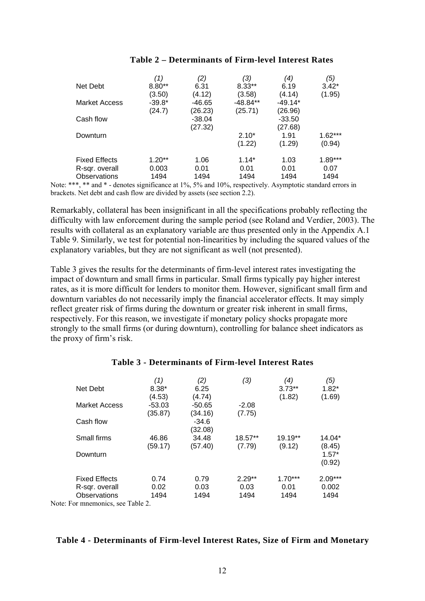|                      | (1)      | (2)      | (3)        | ′4)       | (5)       |
|----------------------|----------|----------|------------|-----------|-----------|
| Net Debt             | $8.80**$ | 6.31     | $8.33**$   | 6.19      | $3.42*$   |
|                      | (3.50)   | (4.12)   | (3.58)     | (4.14)    | (1.95)    |
| <b>Market Access</b> | $-39.8*$ | -46.65   | $-48.84**$ | $-49.14*$ |           |
|                      | (24.7)   | (26.23)  | (25.71)    | (26.96)   |           |
| Cash flow            |          | $-38.04$ |            | -33.50    |           |
|                      |          | (27.32)  |            | (27.68)   |           |
| Downturn             |          |          | $2.10*$    | 1.91      | $1.62***$ |
|                      |          |          | (1.22)     | (1.29)    | (0.94)    |
| <b>Fixed Effects</b> | $1.20**$ | 1.06     | $1.14*$    | 1.03      | $1.89***$ |
| R-sqr. overall       | 0.003    | 0.01     | 0.01       | 0.01      | 0.07      |
| Observations         | 1494     | 1494     | 1494       | 1494      | 1494      |

Note: \*\*\*, \*\* and \* - denotes significance at 1%, 5% and 10%, respectively. Asymptotic standard errors in brackets. Net debt and cash flow are divided by assets (see section 2.2).

Remarkably, collateral has been insignificant in all the specifications probably reflecting the difficulty with law enforcement during the sample period (see Roland and Verdier, 2003). The results with collateral as an explanatory variable are thus presented only in the Appendix A.1 Table 9. Similarly, we test for potential non-linearities by including the squared values of the explanatory variables, but they are not significant as well (not presented).

Table 3 gives the results for the determinants of firm-level interest rates investigating the impact of downturn and small firms in particular. Small firms typically pay higher interest rates, as it is more difficult for lenders to monitor them. However, significant small firm and downturn variables do not necessarily imply the financial accelerator effects. It may simply reflect greater risk of firms during the downturn or greater risk inherent in small firms, respectively. For this reason, we investigate if monetary policy shocks propagate more strongly to the small firms (or during downturn), controlling for balance sheet indicators as the proxy of firm's risk.

|                                   | (1)      | (2)      | (3)      | (4)       | (5)       |
|-----------------------------------|----------|----------|----------|-----------|-----------|
| Net Debt                          | $8.38*$  | 6.25     |          | $3.73**$  | $1.82*$   |
|                                   | (4.53)   | (4.74)   |          | (1.82)    | (1.69)    |
| <b>Market Access</b>              | $-53.03$ | $-50.65$ | $-2.08$  |           |           |
|                                   | (35.87)  | (34.16)  | (7.75)   |           |           |
| Cash flow                         |          | $-34.6$  |          |           |           |
|                                   |          | (32.08)  |          |           |           |
| Small firms                       | 46.86    | 34.48    | 18.57**  | 19.19**   | 14.04*    |
|                                   | (59.17)  | (57.40)  | (7.79)   | (9.12)    | (8.45)    |
| Downturn                          |          |          |          |           | $1.57*$   |
|                                   |          |          |          |           | (0.92)    |
| <b>Fixed Effects</b>              | 0.74     | 0.79     | $2.29**$ | $1.70***$ | $2.09***$ |
| R-sqr. overall                    | 0.02     | 0.03     | 0.03     | 0.01      | 0.002     |
| <b>Observations</b>               | 1494     | 1494     | 1494     | 1494      | 1494      |
| Note: For mnemonics, see Table 2. |          |          |          |           |           |

# **Table 3 - Determinants of Firm-level Interest Rates**

#### **Table 4 - Determinants of Firm-level Interest Rates, Size of Firm and Monetary**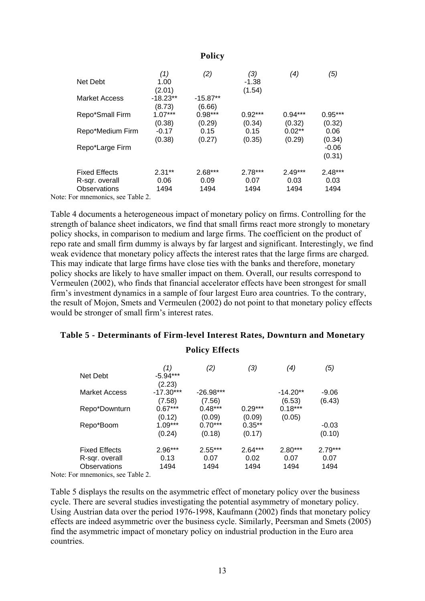### **Policy**

|                                   | (1)        | (2)        | (3)       | (4)       | (5)       |
|-----------------------------------|------------|------------|-----------|-----------|-----------|
| Net Debt                          | 1.00       |            | $-1.38$   |           |           |
|                                   | (2.01)     |            | (1.54)    |           |           |
| <b>Market Access</b>              | $-18.23**$ | $-15.87**$ |           |           |           |
|                                   | (8.73)     | (6.66)     |           |           |           |
| Repo*Small Firm                   | $1.07***$  | $0.98***$  | $0.92***$ | $0.94***$ | $0.95***$ |
|                                   | (0.38)     | (0.29)     | (0.34)    | (0.32)    | (0.32)    |
| Repo*Medium Firm                  | $-0.17$    | 0.15       | 0.15      | $0.02**$  | 0.06      |
|                                   | (0.38)     | (0.27)     | (0.35)    | (0.29)    | (0.34)    |
| Repo*Large Firm                   |            |            |           |           | $-0.06$   |
|                                   |            |            |           |           | (0.31)    |
| <b>Fixed Effects</b>              | $2.31**$   | $2.68***$  | $2.78***$ | $2.49***$ | $2.48***$ |
| R-sqr. overall                    | 0.06       | 0.09       | 0.07      | 0.03      | 0.03      |
| <b>Observations</b>               | 1494       | 1494       | 1494      | 1494      | 1494      |
| Note: For mnemonics, see Table 2. |            |            |           |           |           |

Table 4 documents a heterogeneous impact of monetary policy on firms. Controlling for the strength of balance sheet indicators, we find that small firms react more strongly to monetary policy shocks, in comparison to medium and large firms. The coefficient on the product of repo rate and small firm dummy is always by far largest and significant. Interestingly, we find weak evidence that monetary policy affects the interest rates that the large firms are charged. This may indicate that large firms have close ties with the banks and therefore, monetary policy shocks are likely to have smaller impact on them. Overall, our results correspond to Vermeulen (2002), who finds that financial accelerator effects have been strongest for small firm's investment dynamics in a sample of four largest Euro area countries. To the contrary, the result of Mojon, Smets and Vermeulen (2002) do not point to that monetary policy effects would be stronger of small firm's interest rates.

#### **Table 5 - Determinants of Firm-level Interest Rates, Downturn and Monetary**

### **Policy Effects**

|                      | (1)         | (2)         | (3)       | (4)        | (5)       |
|----------------------|-------------|-------------|-----------|------------|-----------|
| Net Debt             | $-5.94***$  |             |           |            |           |
|                      | (2.23)      |             |           |            |           |
| <b>Market Access</b> | $-17.30***$ | $-26.98***$ |           | $-14.20**$ | $-9.06$   |
|                      | (7.58)      | (7.56)      |           | (6.53)     | (6.43)    |
| Repo*Downturn        | $0.67***$   | $0.48***$   | $0.29***$ | $0.18***$  |           |
|                      | (0.12)      | (0.09)      | (0.09)    | (0.05)     |           |
| Repo*Boom            | $1.09***$   | $0.70***$   | $0.35**$  |            | $-0.03$   |
|                      | (0.24)      | (0.18)      | (0.17)    |            | (0.10)    |
| <b>Fixed Effects</b> | $2.96***$   | $2.55***$   | $2.64***$ | $2.80***$  | $2.79***$ |
| R-sqr. overall       | 0.13        | 0.07        | 0.02      | 0.07       | 0.07      |
| Observations         | 1494        | 1494        | 1494      | 1494       | 1494      |
| <b>F</b> 11 0        |             |             |           |            |           |

Note: For mnemonics, see Table 2.

Table 5 displays the results on the asymmetric effect of monetary policy over the business cycle. There are several studies investigating the potential asymmetry of monetary policy. Using Austrian data over the period 1976-1998, Kaufmann (2002) finds that monetary policy effects are indeed asymmetric over the business cycle. Similarly, Peersman and Smets (2005) find the asymmetric impact of monetary policy on industrial production in the Euro area countries.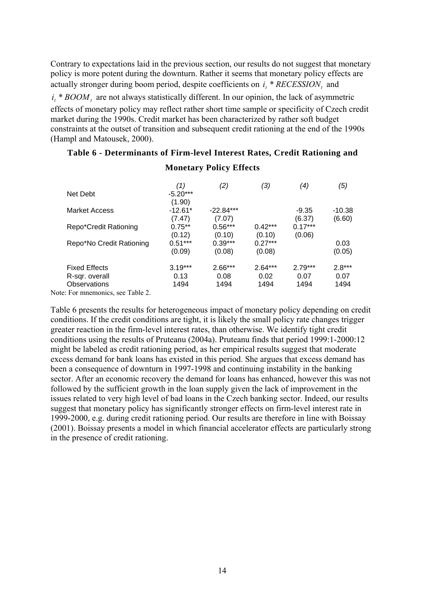Contrary to expectations laid in the previous section, our results do not suggest that monetary policy is more potent during the downturn. Rather it seems that monetary policy effects are actually stronger during boom period, despite coefficients on  $i_t$  \*  $RECESSION_t$  and

 $i_t * BOM_t$  are not always statistically different. In our opinion, the lack of asymmetric effects of monetary policy may reflect rather short time sample or specificity of Czech credit market during the 1990s. Credit market has been characterized by rather soft budget constraints at the outset of transition and subsequent credit rationing at the end of the 1990s (Hampl and Matousek, 2000).

### **Table 6 - Determinants of Firm-level Interest Rates, Credit Rationing and**

|                                 | (1)        | (2)         | (3)       | (4)       | (5)      |
|---------------------------------|------------|-------------|-----------|-----------|----------|
| Net Debt                        | $-5.20***$ |             |           |           |          |
|                                 | (1.90)     |             |           |           |          |
| Market Access                   | $-12.61*$  | $-22.84***$ |           | $-9.35$   | $-10.38$ |
|                                 | (7.47)     | (7.07)      |           | (6.37)    | (6.60)   |
| Repo*Credit Rationing           | $0.75**$   | $0.56***$   | $0.42***$ | $0.17***$ |          |
|                                 | (0.12)     | (0.10)      | (0.10)    | (0.06)    |          |
| Repo*No Credit Rationing        | $0.51***$  | $0.39***$   | $0.27***$ |           | 0.03     |
|                                 | (0.09)     | (0.08)      | (0.08)    |           | (0.05)   |
| <b>Fixed Effects</b>            | $3.19***$  | $2.66***$   | $2.64***$ | $2.79***$ | $2.8***$ |
| R-sqr. overall                  | 0.13       | 0.08        | 0.02      | 0.07      | 0.07     |
| Observations                    | 1494       | 1494        | 1494      | 1494      | 1494     |
| ar Fan muannanias taga Talila 2 |            |             |           |           |          |

### **Monetary Policy Effects**

Note: For mnemonics, see Table 2.

Table 6 presents the results for heterogeneous impact of monetary policy depending on credit conditions. If the credit conditions are tight, it is likely the small policy rate changes trigger greater reaction in the firm-level interest rates, than otherwise. We identify tight credit conditions using the results of Pruteanu (2004a). Pruteanu finds that period 1999:1-2000:12 might be labeled as credit rationing period, as her empirical results suggest that moderate excess demand for bank loans has existed in this period. She argues that excess demand has been a consequence of downturn in 1997-1998 and continuing instability in the banking sector. After an economic recovery the demand for loans has enhanced, however this was not followed by the sufficient growth in the loan supply given the lack of improvement in the issues related to very high level of bad loans in the Czech banking sector. Indeed, our results suggest that monetary policy has significantly stronger effects on firm-level interest rate in 1999-2000, e.g. during credit rationing period. Our results are therefore in line with Boissay (2001). Boissay presents a model in which financial accelerator effects are particularly strong in the presence of credit rationing.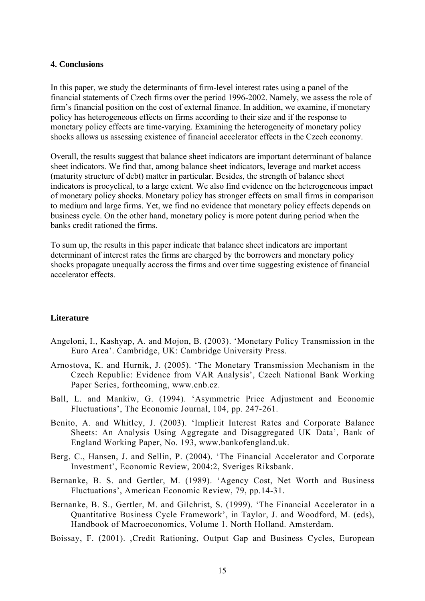#### **4. Conclusions**

In this paper, we study the determinants of firm-level interest rates using a panel of the financial statements of Czech firms over the period 1996-2002. Namely, we assess the role of firm's financial position on the cost of external finance. In addition, we examine, if monetary policy has heterogeneous effects on firms according to their size and if the response to monetary policy effects are time-varying. Examining the heterogeneity of monetary policy shocks allows us assessing existence of financial accelerator effects in the Czech economy.

Overall, the results suggest that balance sheet indicators are important determinant of balance sheet indicators. We find that, among balance sheet indicators, leverage and market access (maturity structure of debt) matter in particular. Besides, the strength of balance sheet indicators is procyclical, to a large extent. We also find evidence on the heterogeneous impact of monetary policy shocks. Monetary policy has stronger effects on small firms in comparison to medium and large firms. Yet, we find no evidence that monetary policy effects depends on business cycle. On the other hand, monetary policy is more potent during period when the banks credit rationed the firms.

To sum up, the results in this paper indicate that balance sheet indicators are important determinant of interest rates the firms are charged by the borrowers and monetary policy shocks propagate unequally accross the firms and over time suggesting existence of financial accelerator effects.

### **Literature**

- Angeloni, I., Kashyap, A. and Mojon, B. (2003). 'Monetary Policy Transmission in the Euro Area'. Cambridge, UK: Cambridge University Press.
- Arnostova, K. and Hurnik, J. (2005). 'The Monetary Transmission Mechanism in the Czech Republic: Evidence from VAR Analysis', Czech National Bank Working Paper Series, forthcoming, [www.cnb.cz.](http://www.cnb.cz/)
- Ball, L. and Mankiw, G. (1994). 'Asymmetric Price Adjustment and Economic Fluctuations', The Economic Journal, 104, pp. 247-261.
- Benito, A. and Whitley, J. (2003). 'Implicit Interest Rates and Corporate Balance Sheets: An Analysis Using Aggregate and Disaggregated UK Data', Bank of England Working Paper, No. 193, [www.bankofengland.uk.](http://www.bankofengland.uk/)
- Berg, C., Hansen, J. and Sellin, P. (2004). 'The Financial Accelerator and Corporate Investment', Economic Review, 2004:2, Sveriges Riksbank.
- Bernanke, B. S. and Gertler, M. (1989). 'Agency Cost, Net Worth and Business Fluctuations', American Economic Review, 79, pp.14-31.
- Bernanke, B. S., Gertler, M. and Gilchrist, S. (1999). 'The Financial Accelerator in a Quantitative Business Cycle Framework', in Taylor, J. and Woodford, M. (eds), Handbook of Macroeconomics, Volume 1. North Holland. Amsterdam.
- Boissay, F. (2001). ,Credit Rationing, Output Gap and Business Cycles, European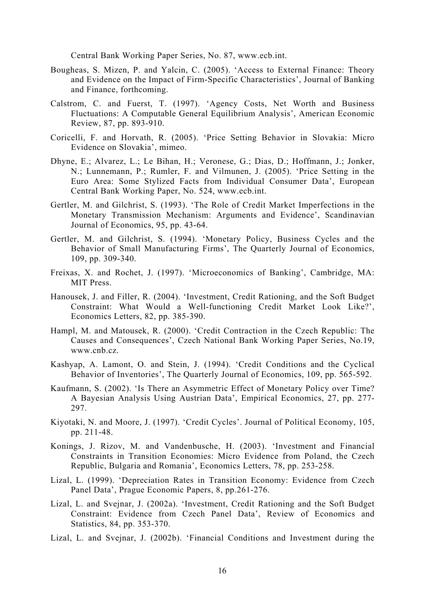Central Bank Working Paper Series, No. 87, [www.ecb.int.](http://www.ecb.int/)

- Bougheas, S. Mizen, P. and Yalcin, C. (2005). 'Access to External Finance: Theory and Evidence on the Impact of Firm-Specific Characteristics', Journal of Banking and Finance, forthcoming.
- Calstrom, C. and Fuerst, T. (1997). 'Agency Costs, Net Worth and Business Fluctuations: A Computable General Equilibrium Analysis', American Economic Review, 87, pp. 893-910.
- Coricelli, F. and Horvath, R. (2005). 'Price Setting Behavior in Slovakia: Micro Evidence on Slovakia', mimeo.
- Dhyne, E.; Alvarez, L.; Le Bihan, H.; Veronese, G.; Dias, D.; Hoffmann, J.; Jonker, N.; Lunnemann, P.; Rumler, F. and Vilmunen, J. (2005). 'Price Setting in the Euro Area: Some Stylized Facts from Individual Consumer Data', European Central Bank Working Paper, No. 524, [www.ecb.int](http://www.ecb.int/).
- Gertler, M. and Gilchrist, S. (1993). 'The Role of Credit Market Imperfections in the Monetary Transmission Mechanism: Arguments and Evidence', Scandinavian Journal of Economics, 95, pp. 43-64.
- Gertler, M. and Gilchrist, S. (1994). 'Monetary Policy, Business Cycles and the Behavior of Small Manufacturing Firms', The Quarterly Journal of Economics, 109, pp. 309-340.
- Freixas, X. and Rochet, J. (1997). 'Microeconomics of Banking', Cambridge, MA: MIT Press.
- Hanousek, J. and Filler, R. (2004). 'Investment, Credit Rationing, and the Soft Budget Constraint: What Would a Well-functioning Credit Market Look Like?', Economics Letters, 82, pp. 385-390.
- Hampl, M. and Matousek, R. (2000). 'Credit Contraction in the Czech Republic: The Causes and Consequences', Czech National Bank Working Paper Series, No.19, [www.cnb.cz](http://www.cnb.cz/).
- Kashyap, A. Lamont, O. and Stein, J. (1994). 'Credit Conditions and the Cyclical Behavior of Inventories', The Quarterly Journal of Economics, 109, pp. 565-592.
- Kaufmann, S. (2002). 'Is There an Asymmetric Effect of Monetary Policy over Time? A Bayesian Analysis Using Austrian Data', Empirical Economics, 27, pp. 277- 297.
- Kiyotaki, N. and Moore, J. (1997). 'Credit Cycles'. Journal of Political Economy, 105, pp. 211-48.
- Konings, J. Rizov, M. and Vandenbusche, H. (2003). 'Investment and Financial Constraints in Transition Economies: Micro Evidence from Poland, the Czech Republic, Bulgaria and Romania', Economics Letters, 78, pp. 253-258.
- Lizal, L. (1999). 'Depreciation Rates in Transition Economy: Evidence from Czech Panel Data', Prague Economic Papers, 8, pp.261-276.
- Lizal, L. and Svejnar, J. (2002a). 'Investment, Credit Rationing and the Soft Budget Constraint: Evidence from Czech Panel Data', Review of Economics and Statistics, 84, pp. 353-370.
- Lizal, L. and Svejnar, J. (2002b). 'Financial Conditions and Investment during the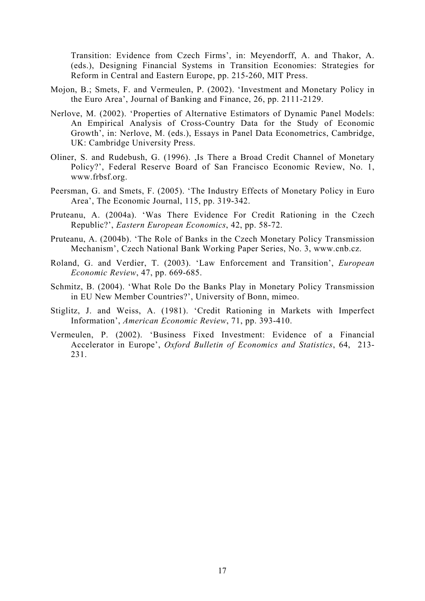Transition: Evidence from Czech Firms', in: Meyendorff, A. and Thakor, A. (eds.), Designing Financial Systems in Transition Economies: Strategies for Reform in Central and Eastern Europe, pp. 215-260, MIT Press.

- Mojon, B.; Smets, F. and Vermeulen, P. (2002). 'Investment and Monetary Policy in the Euro Area', Journal of Banking and Finance, 26, pp. 2111-2129.
- Nerlove, M. (2002). 'Properties of Alternative Estimators of Dynamic Panel Models: An Empirical Analysis of Cross-Country Data for the Study of Economic Growth', in: Nerlove, M. (eds.), Essays in Panel Data Econometrics, Cambridge, UK: Cambridge University Press.
- Oliner, S. and Rudebush, G. (1996). ,Is There a Broad Credit Channel of Monetary Policy?', Federal Reserve Board of San Francisco Economic Review, No. 1, [www.frbsf.org](http://www.frbsf.org/).
- Peersman, G. and Smets, F. (2005). 'The Industry Effects of Monetary Policy in Euro Area', The Economic Journal, 115, pp. 319-342.
- Pruteanu, A. (2004a). 'Was There Evidence For Credit Rationing in the Czech Republic?', *Eastern European Economics*, 42, pp. 58-72.
- Pruteanu, A. (2004b). 'The Role of Banks in the Czech Monetary Policy Transmission Mechanism', Czech National Bank Working Paper Series, No. 3, [www.cnb.cz](http://www.cnb.cz/).
- Roland, G. and Verdier, T. (2003). 'Law Enforcement and Transition', *European Economic Review*, 47, pp. 669-685.
- Schmitz, B. (2004). 'What Role Do the Banks Play in Monetary Policy Transmission in EU New Member Countries?', University of Bonn, mimeo.
- Stiglitz, J. and Weiss, A. (1981). 'Credit Rationing in Markets with Imperfect Information', *American Economic Review*, 71, pp. 393-410.
- Vermeulen, P. (2002). 'Business Fixed Investment: Evidence of a Financial Accelerator in Europe', *Oxford Bulletin of Economics and Statistics*, 64, 213- 231.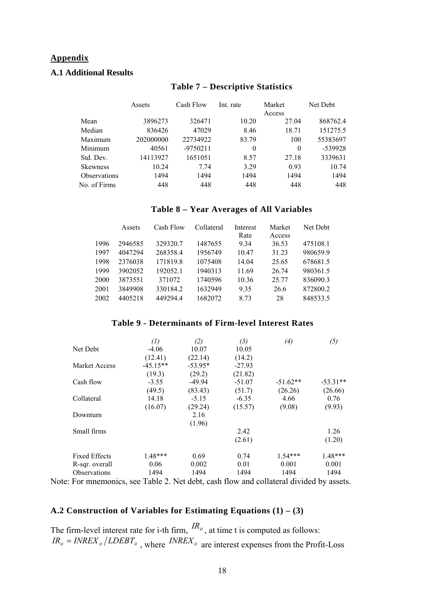# **Appendix**

# **A.1 Additional Results**

#### **Table 7 – Descriptive Statistics**

|                            | Assets    | Cash Flow  | Int. rate | Market   | Net Debt |
|----------------------------|-----------|------------|-----------|----------|----------|
|                            |           |            |           | Access   |          |
| Mean                       | 3896273   | 326471     | 10.20     | 27.04    | 868762.4 |
| Median                     | 836426    | 47029      | 8.46      | 18.71    | 151275.5 |
| Maximum                    | 202000000 | 22734922   | 83.79     | 100      | 55383697 |
| Minimum                    | 40561     | $-9750211$ | $\theta$  | $\theta$ | -539928  |
| Std. Dev.                  | 14113927  | 1651051    | 8.57      | 27.18    | 3339631  |
| <b>Skewness</b>            | 10.24     | 7.74       | 3.29      | 0.93     | 10.74    |
| <i><b>Observations</b></i> | 1494      | 1494       | 1494      | 1494     | 1494     |
| No. of Firms               | 448       | 448        | 448       | 448      | 448      |

#### **Table 8 – Year Averages of All Variables**

|      | Assets  | Cash Flow | Collateral | Interest | Market | Net Debt |
|------|---------|-----------|------------|----------|--------|----------|
|      |         |           |            | Rate     | Access |          |
| 1996 | 2946585 | 329320.7  | 1487655    | 9.34     | 36.53  | 475108.1 |
| 1997 | 4047294 | 268358.4  | 1956749    | 10.47    | 31.23  | 980659.9 |
| 1998 | 2376038 | 171819.8  | 1075408    | 14.04    | 25.65  | 678681.5 |
| 1999 | 3902052 | 192052.1  | 1940313    | 11.69    | 26.74  | 980361.5 |
| 2000 | 3873551 | 371072    | 1740596    | 10.36    | 25.77  | 836090.3 |
| 2001 | 3849908 | 330184.2  | 1632949    | 9.35     | 26.6   | 872800.2 |
| 2002 | 4405218 | 4492944   | 1682072    | 8.73     | 28     | 848533.5 |

#### **Table 9 - Determinants of Firm-level Interest Rates**

|                      | (1)        | (2)       | (3)      | (4)        | (5)        |
|----------------------|------------|-----------|----------|------------|------------|
| Net Debt             | $-4.06$    | 10.07     | 10.05    |            |            |
|                      | (12.41)    | (22.14)   | (14.2)   |            |            |
| Market Access        | $-45.15**$ | $-53.95*$ | $-27.93$ |            |            |
|                      | (19.3)     | (29.2)    | (21.82)  |            |            |
| Cash flow            | $-3.55$    | $-49.94$  | $-51.07$ | $-51.62**$ | $-53.31**$ |
|                      | (49.5)     | (83.43)   | (51.7)   | (26.26)    | (26.66)    |
| Collateral           | 14.18      | $-5.15$   | $-6.35$  | 4.66       | 0.76       |
|                      | (16.07)    | (29.24)   | (15.57)  | (9.08)     | (9.93)     |
| Downturn             |            | 2.16      |          |            |            |
|                      |            | (1.96)    |          |            |            |
| Small firms          |            |           | 2.42     |            | 1.26       |
|                      |            |           | (2.61)   |            | (1.20)     |
| <b>Fixed Effects</b> | $1.48***$  | 0.69      | 0.74     | $1.54***$  | $1.48***$  |
| R-sqr. overall       | 0.06       | 0.002     | 0.01     | 0.001      | 0.001      |
| <b>Observations</b>  | 1494       | 1494      | 1494     | 1494       | 1494       |

Note: For mnemonics, see Table 2. Net debt, cash flow and collateral divided by assets.

## **A.2 Construction of Variables for Estimating Equations (1) – (3)**

The firm-level interest rate for i-th firm,  $\binom{R_u}{m}$ , at time t is computed as follows:  $IR_{it} = INREX_{it}/LDEBT_{it}$ , where  $INREX_{it}$  are interest expenses from the Profit-Loss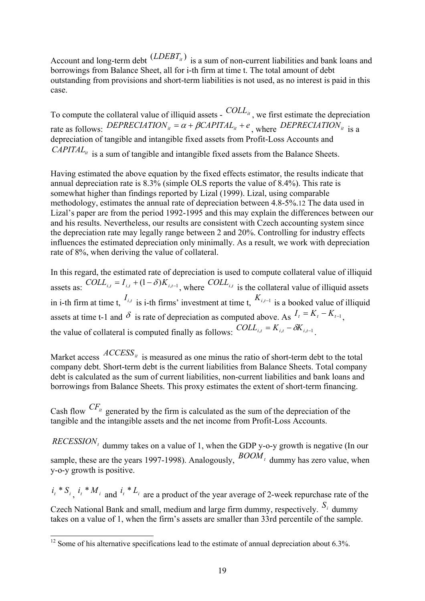Account and long-term debt  $(LDEBT_{ti})$  is a sum of non-current liabilities and bank loans and borrowings from Balance Sheet, all for i-th firm at time t. The total amount of debt outstanding from provisions and short-term liabilities is not used, as no interest is paid in this case.

To compute the collateral value of illiquid assets -  $COLL_{it}$ , we first estimate the depreciation rate as follows: *DEPRECIATION*<sub>*it*</sub> =  $\alpha$  +  $\beta$ CAPITAL<sub>*it*</sub> +  $e$ <sub>*N*</sub> where *DEPRECIATION*<sub>*it*</sub> is a depreciation of tangible and intangible fixed assets from Profit-Loss Accounts and *CAPITAL<sub>it</sub>* is a sum of tangible and intangible fixed assets from the Balance Sheets.

Having estimated the above equation by the fixed effects estimator, the results indicate that annual depreciation rate is 8.3% (simple OLS reports the value of 8.4%). This rate is somewhat higher than findings reported by Lizal (1999). Lizal, using comparable methodology, estimates the annual rate of depreciation between 4.8-5%.[12](#page-19-0) The data used in Lizal's paper are from the period 1992-1995 and this may explain the differences between our and his results. Nevertheless, our results are consistent with Czech accounting system since the depreciation rate may legally range between 2 and 20%. Controlling for industry effects influences the estimated depreciation only minimally. As a result, we work with depreciation rate of 8%, when deriving the value of collateral.

In this regard, the estimated rate of depreciation is used to compute collateral value of illiquid assets as:  $COLL_{i,t} = I_{i,t} + (1 - \delta)K_{i,t-1}$ , where  $COLL_{i,t}$  is the collateral value of illiquid assets in i-th firm at time t,  $I_{i,t}$  is i-th firms' investment at time t,  $K_{i,t-1}$  is a booked value of illiquid assets at time t-1 and  $\delta$  is rate of depreciation as computed above. As  $I_t = K_t - K_{t-1}$ , the value of collateral is computed finally as follows:  $COLL_{i,t} = K_{i,t} - \delta K_{i,t-1}$ 

Market access  $ACCESS_{it}$  is measured as one minus the ratio of short-term debt to the total company debt. Short-term debt is the current liabilities from Balance Sheets. Total company debt is calculated as the sum of current liabilities, non-current liabilities and bank loans and borrowings from Balance Sheets. This proxy estimates the extent of short-term financing.

Cash flow  $CF_{it}$  generated by the firm is calculated as the sum of the depreciation of the tangible and the intangible assets and the net income from Profit-Loss Accounts.

 $RECESSION_t$  dummy takes on a value of 1, when the GDP y-o-y growth is negative (In our sample, these are the years 1997-1998). Analogously,  $BOM_t$  dummy has zero value, when y-o-y growth is positive.

 $i_i * S_i$ ,  $i_i * M_i$  and  $i_i * L_i$  are a product of the year average of 2-week repurchase rate of the Czech National Bank and small, medium and large firm dummy, respectively.  $S_i$  dummy takes on a value of 1, when the firm's assets are smaller than 33rd percentile of the sample.

<span id="page-19-0"></span> $\overline{a}$  $12$  Some of his alternative specifications lead to the estimate of annual depreciation about 6.3%.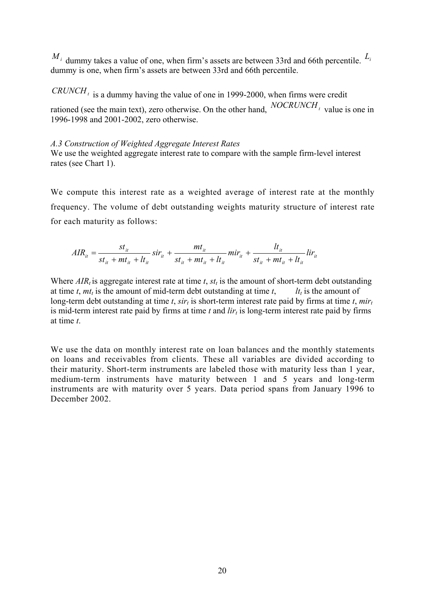$M_i$  dummy takes a value of one, when firm's assets are between 33rd and 66th percentile.  $L_i$ dummy is one, when firm's assets are between 33rd and 66th percentile.

 $CRUNCH<sub>t</sub>$  is a dummy having the value of one in 1999-2000, when firms were credit rationed (see the main text), zero otherwise. On the other hand,  $NOCRUNCH_t$  value is one in 1996-1998 and 2001-2002, zero otherwise.

#### *A.3 Construction of Weighted Aggregate Interest Rates*

We use the weighted aggregate interest rate to compare with the sample firm-level interest rates (see Chart 1).

We compute this interest rate as a weighted average of interest rate at the monthly frequency. The volume of debt outstanding weights maturity structure of interest rate for each maturity as follows:

$$
AIR_{it} = \frac{st_{it}}{st_{it} + mt_{it} + lt_{it}} sir_{it} + \frac{mt_{it}}{st_{it} + mt_{it} + lt_{it}} mir_{it} + \frac{lt_{it}}{st_{it} + mt_{it} + lt_{it}} dir_{it}
$$

Where  $AIR_t$  is aggregate interest rate at time  $t$ ,  $st_t$  is the amount of short-term debt outstanding at time *t*,  $mt_t$  is the amount of mid-term debt outstanding at time *t*, *lt*  $lt_t$  is the amount of long-term debt outstanding at time *t*,  $sir_t$  is short-term interest rate paid by firms at time *t*,  $mir_t$ is mid-term interest rate paid by firms at time  $t$  and  $\lim_{t \to \infty} t$  is long-term interest rate paid by firms at time *t*.

We use the data on monthly interest rate on loan balances and the monthly statements on loans and receivables from clients. These all variables are divided according to their maturity. Short-term instruments are labeled those with maturity less than 1 year, medium-term instruments have maturity between 1 and 5 years and long-term instruments are with maturity over 5 years. Data period spans from January 1996 to December 2002.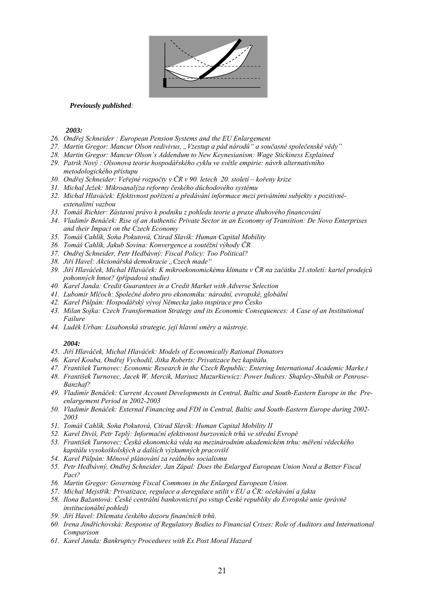

#### *Previously published:*

*2003:* 

- *26. Ondřej Schneider : European Pension Systems and the EU Enlargement*
- *27. Martin Gregor: Mancur Olson redivivus, "Vzestup a pád národů" a současné společenské vědy"*
- *28. Martin Gregor: Mancur Olson's Addendum to New Keynesianism: Wage Stickiness Explained*
- *29. Patrik Nový : Olsonova teorie hospodářského cyklu ve světle empirie: návrh alternativního metodologického přístupu*
- *30. Ondřej Schneider: Veřejné rozpočty v ČR v 90. letech 20. století kořeny krize*
- *31. Michal Ježek: Mikroanalýza reformy českého důchodového systému*
- *32. Michal Hlaváček: Efektivnost pořízení a předávání informace mezi privátními subjekty s pozitivněextenalitní vazbou*
- *33. Tomáš Richter: Zástavní právo k podniku z pohledu teorie a praxe dluhového financování*
- *34. Vladimír Benáček: Rise of an Authentic Private Sector in an Economy of Transition: De Novo Enterprises and their Impact on the Czech Economy*
- *35. Tomáš Cahlík, Soňa Pokutová, Ctirad Slavík: Human Capital Mobility*
- *36. Tomáš Cahlík, Jakub Sovina: Konvergence a soutěžní výhody ČR*
- *37. Ondřej Schneider, Petr Hedbávný: Fiscal Policy: Too Political?*
- *38. Jiří Havel: Akcionářská demokracie "Czech made"*
- *39. Jiří Hlaváček, Michal Hlaváček: K mikroekonomickému klimatu v ČR na začátku 21.století: kartel prodejců pohonných hmot? (případová studie)*
- *40. Karel Janda: Credit Guarantees in a Credit Market with Adverse Selection*
- *41. Lubomír Mlčoch: Společné dobro pro ekonomiku: národní, evropské, globální*
- *42. Karel Půlpán: Hospodářský vývoj Německa jako inspirace pro Česko*
- *43. Milan Sojka: Czech Transformation Strategy and its Economic Consequences: A Case of an Institutional Failure*
- *44. Luděk Urban: Lisabonská strategie, její hlavní směry a nástroje.*

#### *2004:*

- *45. Jiří Hlaváček, Michal Hlaváček: Models of Economically Rational Donators*
- *46. Karel Kouba, Ondřej Vychodil, Jitka Roberts: Privatizace bez kapitálu.*
- *47. František Turnovec: Economic Research in the Czech Republic: Entering International Academic Marke.t*
- *48. František Turnovec, Jacek W. Mercik, Mariusz Mazurkiewicz: Power Indices: Shapley-Shubik or Penrose-Banzhaf?*
- *49. Vladimír Benáček: Current Account Developments in Central, Baltic and South-Eastern Europe in the Preenlargement Period in 2002-2003*
- *50. Vladimír Benáček: External Financing and FDI in Central, Baltic and South-Eastern Europe during 2002- 2003*
- *51. Tomáš Cahlík, Soňa Pokutová, Ctirad Slavík: Human Capital Mobility II*
- *52. Karel Diviš, Petr Teplý: Informační efektivnost burzovních trhů ve střední Evropě*
- *53. František Turnovec: Česká ekonomická věda na mezinárodním akademickém trhu: měření vědeckého kapitálu vysokoškolských a dalších výzkumných pracovišť*
- *54. Karel Půlpán: Měnové plánování za reálného socialismu*
- *55. Petr Hedbávný, Ondřej Schneider, Jan Zápal: Does the Enlarged European Union Need a Better Fiscal Pact?*
- *56. Martin Gregor: Governing Fiscal Commons in the Enlarged European Union.*
- *57. Michal Mejstřík: Privatizace, regulace a deregulace utilit v EU a ČR: očekávání a fakta*
- *58. Ilona Bažantová: České centrální bankovnictví po vstup České republiky do Evropské unie (právně institucionální pohled)*
- *59. Jiří Havel: Dilemata českého dozoru finančních trhů.*
- *60. Irena Jindřichovská: Response of Regulatory Bodies to Financial Crises: Role of Auditors and International Comparison*
- *61. Karel Janda: Bankruptcy Procedures with Ex Post Moral Hazard*